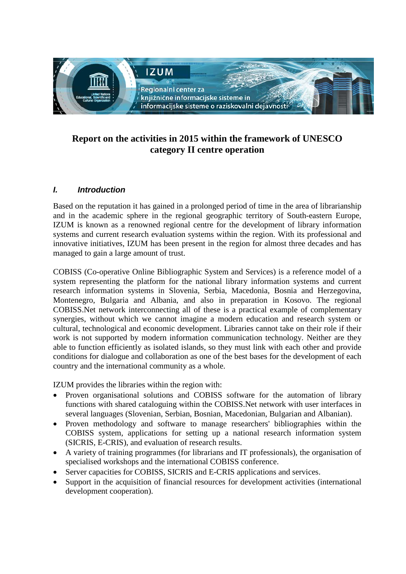

# **Report on the activities in 2015 within the framework of UNESCO category II centre operation**

## *I. Introduction*

Based on the reputation it has gained in a prolonged period of time in the area of librarianship and in the academic sphere in the regional geographic territory of South-eastern Europe, IZUM is known as a renowned regional centre for the development of library information systems and current research evaluation systems within the region. With its professional and innovative initiatives, IZUM has been present in the region for almost three decades and has managed to gain a large amount of trust.

COBISS (Co-operative Online Bibliographic System and Services) is a reference model of a system representing the platform for the national library information systems and current research information systems in Slovenia, Serbia, Macedonia, Bosnia and Herzegovina, Montenegro, Bulgaria and Albania, and also in preparation in Kosovo. The regional COBISS.Net network interconnecting all of these is a practical example of complementary synergies, without which we cannot imagine a modern education and research system or cultural, technological and economic development. Libraries cannot take on their role if their work is not supported by modern information communication technology. Neither are they able to function efficiently as isolated islands, so they must link with each other and provide conditions for dialogue and collaboration as one of the best bases for the development of each country and the international community as a whole.

IZUM provides the libraries within the region with:

- Proven organisational solutions and COBISS software for the automation of library functions with shared cataloguing within the COBISS.Net network with user interfaces in several languages (Slovenian, Serbian, Bosnian, Macedonian, Bulgarian and Albanian).
- Proven methodology and software to manage researchers' bibliographies within the COBISS system, applications for setting up a national research information system (SICRIS, E-CRIS), and evaluation of research results.
- A variety of training programmes (for librarians and IT professionals), the organisation of specialised workshops and the international COBISS conference.
- Server capacities for COBISS, SICRIS and E-CRIS applications and services.
- Support in the acquisition of financial resources for development activities (international development cooperation).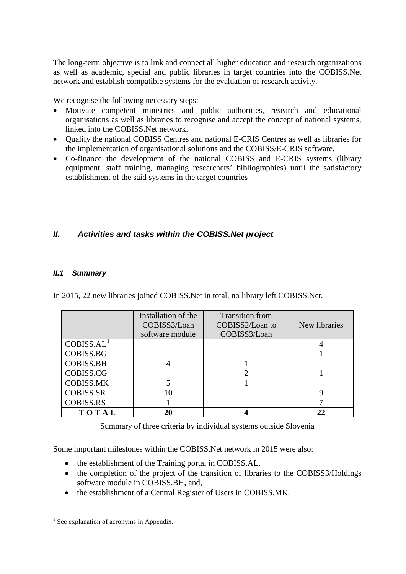The long-term objective is to link and connect all higher education and research organizations as well as academic, special and public libraries in target countries into the COBISS.Net network and establish compatible systems for the evaluation of research activity.

We recognise the following necessary steps:

- Motivate competent ministries and public authorities, research and educational organisations as well as libraries to recognise and accept the concept of national systems, linked into the COBISS.Net network.
- Qualify the national COBISS Centres and national E-CRIS Centres as well as libraries for the implementation of organisational solutions and the COBISS/E-CRIS software.
- Co-finance the development of the national COBISS and E-CRIS systems (library equipment, staff training, managing researchers' bibliographies) until the satisfactory establishment of the said systems in the target countries

## *II. Activities and tasks within the COBISS.Net project*

### *II.1 Summary*

In 2015, 22 new libraries joined COBISS.Net in total, no library left COBISS.Net.

|                        | Installation of the<br>COBISS3/Loan<br>software module | <b>Transition from</b><br>COBISS2/Loan to<br>COBISS3/Loan | New libraries |
|------------------------|--------------------------------------------------------|-----------------------------------------------------------|---------------|
| COBISS.AL <sup>1</sup> |                                                        |                                                           |               |
| <b>COBISS.BG</b>       |                                                        |                                                           |               |
| <b>COBISS.BH</b>       |                                                        |                                                           |               |
| COBISS.CG              |                                                        |                                                           |               |
| <b>COBISS.MK</b>       |                                                        |                                                           |               |
| <b>COBISS.SR</b>       |                                                        |                                                           |               |
| <b>COBISS.RS</b>       |                                                        |                                                           |               |
| TOTAL                  |                                                        |                                                           |               |

Summary of three criteria by individual systems outside Slovenia

Some important milestones within the COBISS.Net network in 2015 were also:

- the establishment of the Training portal in COBISS.AL,
- the completion of the project of the transition of libraries to the COBISS3/Holdings software module in COBISS.BH, and,
- the establishment of a Central Register of Users in COBISS.MK.

<span id="page-1-0"></span> $<sup>1</sup>$  See explanation of acronyms in Appendix.</sup>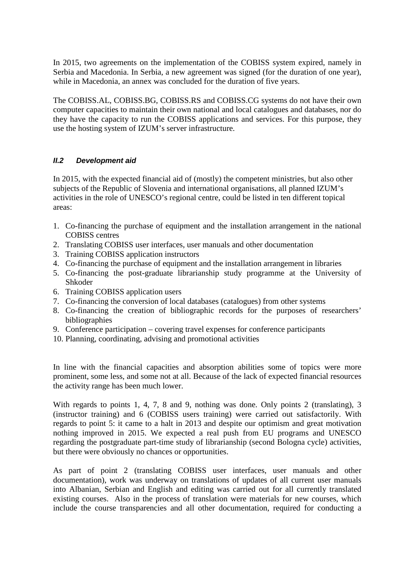In 2015, two agreements on the implementation of the COBISS system expired, namely in Serbia and Macedonia. In Serbia, a new agreement was signed (for the duration of one year), while in Macedonia, an annex was concluded for the duration of five years.

The COBISS.AL, COBISS.BG, COBISS.RS and COBISS.CG systems do not have their own computer capacities to maintain their own national and local catalogues and databases, nor do they have the capacity to run the COBISS applications and services. For this purpose, they use the hosting system of IZUM's server infrastructure.

## *II.2 Development aid*

In 2015, with the expected financial aid of (mostly) the competent ministries, but also other subjects of the Republic of Slovenia and international organisations, all planned IZUM's activities in the role of UNESCO's regional centre, could be listed in ten different topical areas:

- 1. Co-financing the purchase of equipment and the installation arrangement in the national COBISS centres
- 2. Translating COBISS user interfaces, user manuals and other documentation
- 3. Training COBISS application instructors
- 4. Co-financing the purchase of equipment and the installation arrangement in libraries
- 5. Co-financing the post-graduate librarianship study programme at the University of Shkoder
- 6. Training COBISS application users
- 7. Co-financing the conversion of local databases (catalogues) from other systems
- 8. Co-financing the creation of bibliographic records for the purposes of researchers' bibliographies
- 9. Conference participation covering travel expenses for conference participants
- 10. Planning, coordinating, advising and promotional activities

In line with the financial capacities and absorption abilities some of topics were more prominent, some less, and some not at all. Because of the lack of expected financial resources the activity range has been much lower.

With regards to points 1, 4, 7, 8 and 9, nothing was done. Only points 2 (translating), 3 (instructor training) and 6 (COBISS users training) were carried out satisfactorily. With regards to point 5: it came to a halt in 2013 and despite our optimism and great motivation nothing improved in 2015. We expected a real push from EU programs and UNESCO regarding the postgraduate part-time study of librarianship (second Bologna cycle) activities, but there were obviously no chances or opportunities.

As part of point 2 (translating COBISS user interfaces, user manuals and other documentation), work was underway on translations of updates of all current user manuals into Albanian, Serbian and English and editing was carried out for all currently translated existing courses. Also in the process of translation were materials for new courses, which include the course transparencies and all other documentation, required for conducting a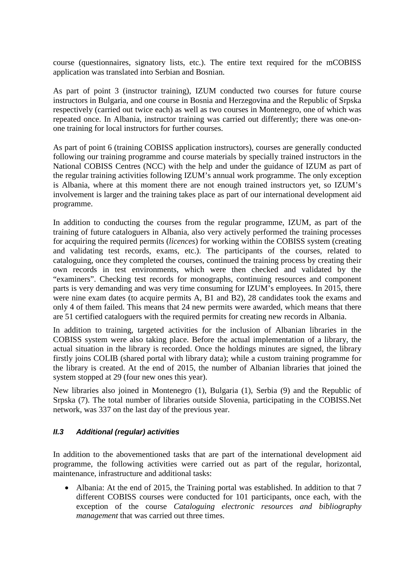course (questionnaires, signatory lists, etc.). The entire text required for the mCOBISS application was translated into Serbian and Bosnian.

As part of point 3 (instructor training), IZUM conducted two courses for future course instructors in Bulgaria, and one course in Bosnia and Herzegovina and the Republic of Srpska respectively (carried out twice each) as well as two courses in Montenegro, one of which was repeated once. In Albania, instructor training was carried out differently; there was one-onone training for local instructors for further courses.

As part of point 6 (training COBISS application instructors), courses are generally conducted following our training programme and course materials by specially trained instructors in the National COBISS Centres (NCC) with the help and under the guidance of IZUM as part of the regular training activities following IZUM's annual work programme. The only exception is Albania, where at this moment there are not enough trained instructors yet, so IZUM's involvement is larger and the training takes place as part of our international development aid programme.

In addition to conducting the courses from the regular programme, IZUM, as part of the training of future cataloguers in Albania, also very actively performed the training processes for acquiring the required permits (*licences*) for working within the COBISS system (creating and validating test records, exams, etc.). The participants of the courses, related to cataloguing, once they completed the courses, continued the training process by creating their own records in test environments, which were then checked and validated by the "examiners". Checking test records for monographs, continuing resources and component parts is very demanding and was very time consuming for IZUM's employees. In 2015, there were nine exam dates (to acquire permits A, B1 and B2), 28 candidates took the exams and only 4 of them failed. This means that 24 new permits were awarded, which means that there are 51 certified cataloguers with the required permits for creating new records in Albania.

In addition to training, targeted activities for the inclusion of Albanian libraries in the COBISS system were also taking place. Before the actual implementation of a library, the actual situation in the library is recorded. Once the holdings minutes are signed, the library firstly joins COLIB (shared portal with library data); while a custom training programme for the library is created. At the end of 2015, the number of Albanian libraries that joined the system stopped at 29 (four new ones this year).

New libraries also joined in Montenegro (1), Bulgaria (1), Serbia (9) and the Republic of Srpska (7). The total number of libraries outside Slovenia, participating in the COBISS.Net network, was 337 on the last day of the previous year.

## *II.3 Additional (regular) activities*

In addition to the abovementioned tasks that are part of the international development aid programme, the following activities were carried out as part of the regular, horizontal, maintenance, infrastructure and additional tasks:

• Albania: At the end of 2015, the Training portal was established. In addition to that 7 different COBISS courses were conducted for 101 participants, once each, with the exception of the course *Cataloguing electronic resources and bibliography management* that was carried out three times.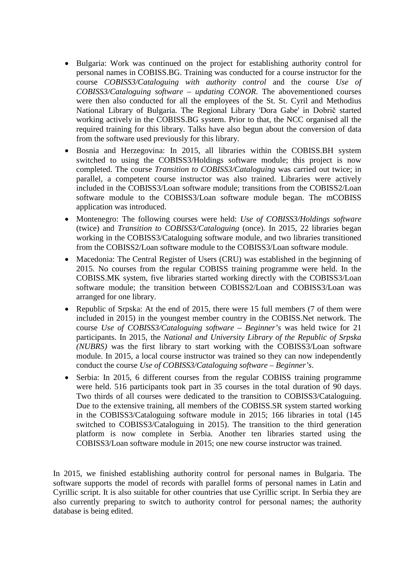- Bulgaria: Work was continued on the project for establishing authority control for personal names in COBISS.BG. Training was conducted for a course instructor for the course *COBISS3/Cataloguing with authority control* and the course *Use of COBISS3/Cataloguing software – updating CONOR*. The abovementioned courses were then also conducted for all the employees of the St. St. Cyril and Methodius National Library of Bulgaria. The Regional Library 'Dora Gabe' in Dobrič started working actively in the COBISS.BG system. Prior to that, the NCC organised all the required training for this library. Talks have also begun about the conversion of data from the software used previously for this library.
- Bosnia and Herzegovina: In 2015, all libraries within the COBISS.BH system switched to using the COBISS3/Holdings software module; this project is now completed. The course *Transition to COBISS3/Cataloguing* was carried out twice; in parallel, a competent course instructor was also trained. Libraries were actively included in the COBISS3/Loan software module; transitions from the COBISS2/Loan software module to the COBISS3/Loan software module began. The mCOBISS application was introduced.
- Montenegro: The following courses were held: *Use of COBISS3/Holdings software*  (twice) and *Transition to COBISS3/Cataloguing* (once). In 2015, 22 libraries began working in the COBISS3/Cataloguing software module, and two libraries transitioned from the COBISS2/Loan software module to the COBISS3/Loan software module.
- Macedonia: The Central Register of Users (CRU) was established in the beginning of 2015. No courses from the regular COBISS training programme were held. In the COBISS.MK system, five libraries started working directly with the COBISS3/Loan software module; the transition between COBISS2/Loan and COBISS3/Loan was arranged for one library.
- Republic of Srpska: At the end of 2015, there were 15 full members (7 of them were included in 2015) in the youngest member country in the COBISS.Net network. The course *Use of COBISS3/Cataloguing software – Beginner's* was held twice for 21 participants. In 2015, the *National and University Library of the Republic of Srpska (NUBRS)* was the first library to start working with the COBISS3/Loan software module. In 2015, a local course instructor was trained so they can now independently conduct the course *Use of COBISS3/Cataloguing software – Beginner's*.
- Serbia: In 2015, 6 different courses from the regular COBISS training programme were held. 516 participants took part in 35 courses in the total duration of 90 days. Two thirds of all courses were dedicated to the transition to COBISS3/Cataloguing. Due to the extensive training, all members of the COBISS.SR system started working in the COBISS3/Cataloguing software module in 2015; 166 libraries in total (145 switched to COBISS3/Cataloguing in 2015). The transition to the third generation platform is now complete in Serbia. Another ten libraries started using the COBISS3/Loan software module in 2015; one new course instructor was trained.

In 2015, we finished establishing authority control for personal names in Bulgaria. The software supports the model of records with parallel forms of personal names in Latin and Cyrillic script. It is also suitable for other countries that use Cyrillic script. In Serbia they are also currently preparing to switch to authority control for personal names; the authority database is being edited.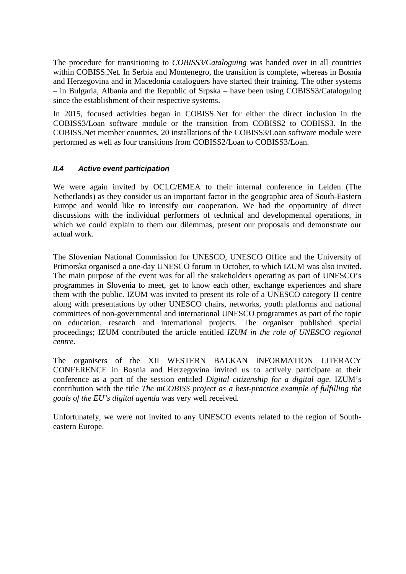The procedure for transitioning to *COBISS3/Cataloguing* was handed over in all countries within COBISS.Net. In Serbia and Montenegro, the transition is complete, whereas in Bosnia and Herzegovina and in Macedonia cataloguers have started their training. The other systems – in Bulgaria, Albania and the Republic of Srpska – have been using COBISS3/Cataloguing since the establishment of their respective systems.

In 2015, focused activities began in COBISS.Net for either the direct inclusion in the COBISS3/Loan software module or the transition from COBISS2 to COBISS3. In the COBISS.Net member countries, 20 installations of the COBISS3/Loan software module were performed as well as four transitions from COBISS2/Loan to COBISS3/Loan.

### *II.4 Active event participation*

We were again invited by OCLC/EMEA to their internal conference in Leiden (The Netherlands) as they consider us an important factor in the geographic area of South-Eastern Europe and would like to intensify our cooperation. We had the opportunity of direct discussions with the individual performers of technical and developmental operations, in which we could explain to them our dilemmas, present our proposals and demonstrate our actual work.

The Slovenian National Commission for UNESCO, UNESCO Office and the University of Primorska organised a one-day UNESCO forum in October, to which IZUM was also invited. The main purpose of the event was for all the stakeholders operating as part of UNESCO's programmes in Slovenia to meet, get to know each other, exchange experiences and share them with the public. IZUM was invited to present its role of a UNESCO category II centre along with presentations by other UNESCO chairs, networks, youth platforms and national committees of non-governmental and international UNESCO programmes as part of the topic on education, research and international projects. The organiser published special proceedings; IZUM contributed the article entitled *IZUM in the role of UNESCO regional centre*.

The organisers of the XII WESTERN BALKAN INFORMATION LITERACY CONFERENCE in Bosnia and Herzegovina invited us to actively participate at their conference as a part of the session entitled *Digital citizenship for a digital age*. IZUM's contribution with the title *The mCOBISS project as a best-practice example of fulfilling the goals of the EU's digital agenda* was very well received*.* 

Unfortunately, we were not invited to any UNESCO events related to the region of Southeastern Europe.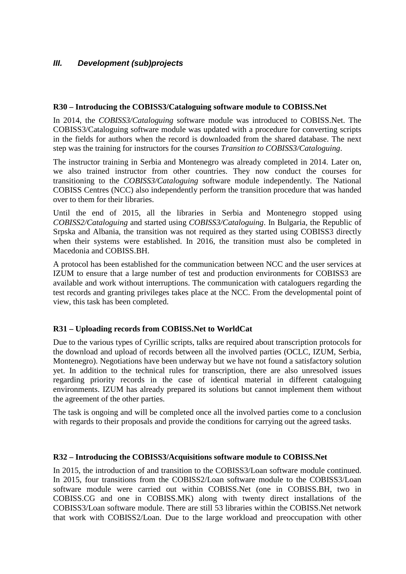## *III. Development (sub)projects*

#### **R30 – Introducing the COBISS3/Cataloguing software module to COBISS.Net**

In 2014, the *COBISS3/Cataloguing* software module was introduced to COBISS.Net. The COBISS3/Cataloguing software module was updated with a procedure for converting scripts in the fields for authors when the record is downloaded from the shared database. The next step was the training for instructors for the courses *Transition to COBISS3/Cataloguing*.

The instructor training in Serbia and Montenegro was already completed in 2014. Later on, we also trained instructor from other countries. They now conduct the courses for transitioning to the *COBISS3/Cataloguing* software module independently. The National COBISS Centres (NCC) also independently perform the transition procedure that was handed over to them for their libraries.

Until the end of 2015, all the libraries in Serbia and Montenegro stopped using *COBISS2/Cataloguing* and started using *COBISS3/Cataloguing*. In Bulgaria, the Republic of Srpska and Albania, the transition was not required as they started using COBISS3 directly when their systems were established. In 2016, the transition must also be completed in Macedonia and COBISS.BH.

A protocol has been established for the communication between NCC and the user services at IZUM to ensure that a large number of test and production environments for COBISS3 are available and work without interruptions. The communication with cataloguers regarding the test records and granting privileges takes place at the NCC. From the developmental point of view, this task has been completed.

## **R31 – Uploading records from COBISS.Net to WorldCat**

Due to the various types of Cyrillic scripts, talks are required about transcription protocols for the download and upload of records between all the involved parties (OCLC, IZUM, Serbia, Montenegro). Negotiations have been underway but we have not found a satisfactory solution yet. In addition to the technical rules for transcription, there are also unresolved issues regarding priority records in the case of identical material in different cataloguing environments. IZUM has already prepared its solutions but cannot implement them without the agreement of the other parties.

The task is ongoing and will be completed once all the involved parties come to a conclusion with regards to their proposals and provide the conditions for carrying out the agreed tasks.

#### **R32 – Introducing the COBISS3/Acquisitions software module to COBISS.Net**

In 2015, the introduction of and transition to the COBISS3/Loan software module continued. In 2015, four transitions from the COBISS2/Loan software module to the COBISS3/Loan software module were carried out within COBISS.Net (one in COBISS.BH, two in COBISS.CG and one in COBISS.MK) along with twenty direct installations of the COBISS3/Loan software module. There are still 53 libraries within the COBISS.Net network that work with COBISS2/Loan. Due to the large workload and preoccupation with other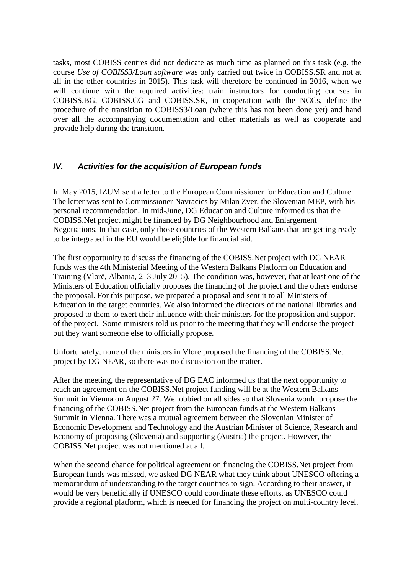tasks, most COBISS centres did not dedicate as much time as planned on this task (e.g. the course *Use of COBISS3/Loan software* was only carried out twice in COBISS.SR and not at all in the other countries in 2015). This task will therefore be continued in 2016, when we will continue with the required activities: train instructors for conducting courses in COBISS.BG, COBISS.CG and COBISS.SR, in cooperation with the NCCs, define the procedure of the transition to COBISS3/Loan (where this has not been done yet) and hand over all the accompanying documentation and other materials as well as cooperate and provide help during the transition.

## *IV. Activities for the acquisition of European funds*

In May 2015, IZUM sent a letter to the European Commissioner for Education and Culture. The letter was sent to Commissioner Navracics by Milan Zver, the Slovenian MEP, with his personal recommendation. In mid-June, DG Education and Culture informed us that the COBISS.Net project might be financed by DG Neighbourhood and Enlargement Negotiations. In that case, only those countries of the Western Balkans that are getting ready to be integrated in the EU would be eligible for financial aid.

The first opportunity to discuss the financing of the COBISS.Net project with DG NEAR funds was the 4th Ministerial Meeting of the Western Balkans Platform on Education and Training (Vlorë, Albania, 2–3 July 2015). The condition was, however, that at least one of the Ministers of Education officially proposes the financing of the project and the others endorse the proposal. For this purpose, we prepared a proposal and sent it to all Ministers of Education in the target countries. We also informed the directors of the national libraries and proposed to them to exert their influence with their ministers for the proposition and support of the project. Some ministers told us prior to the meeting that they will endorse the project but they want someone else to officially propose.

Unfortunately, none of the ministers in Vlore proposed the financing of the COBISS.Net project by DG NEAR, so there was no discussion on the matter.

After the meeting, the representative of DG EAC informed us that the next opportunity to reach an agreement on the COBISS.Net project funding will be at the Western Balkans Summit in Vienna on August 27. We lobbied on all sides so that Slovenia would propose the financing of the COBISS.Net project from the European funds at the Western Balkans Summit in Vienna. There was a mutual agreement between the Slovenian Minister of Economic Development and Technology and the Austrian Minister of Science, Research and Economy of proposing (Slovenia) and supporting (Austria) the project. However, the COBISS.Net project was not mentioned at all.

When the second chance for political agreement on financing the COBISS.Net project from European funds was missed, we asked DG NEAR what they think about UNESCO offering a memorandum of understanding to the target countries to sign. According to their answer, it would be very beneficially if UNESCO could coordinate these efforts, as UNESCO could provide a regional platform, which is needed for financing the project on multi-country level.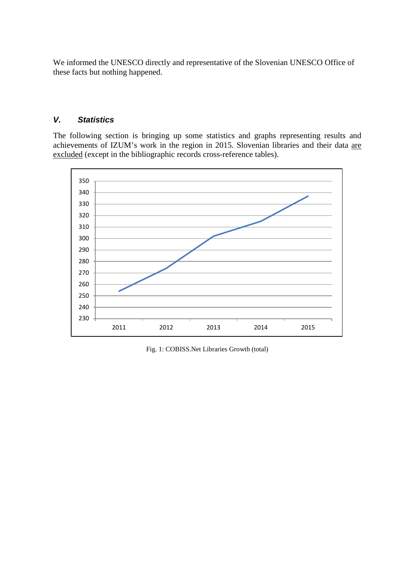We informed the UNESCO directly and representative of the Slovenian UNESCO Office of these facts but nothing happened.

## *V. Statistics*

The following section is bringing up some statistics and graphs representing results and achievements of IZUM's work in the region in 2015. Slovenian libraries and their data are excluded (except in the bibliographic records cross-reference tables).



Fig. 1: COBISS.Net Libraries Growth (total)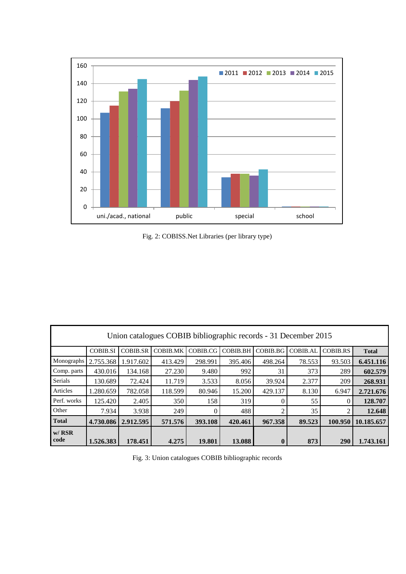

Fig. 2: COBISS.Net Libraries (per library type)

| Union catalogues COBIB bibliographic records - 31 December 2015 |                 |                 |                 |          |                 |              |          |                 |              |
|-----------------------------------------------------------------|-----------------|-----------------|-----------------|----------|-----------------|--------------|----------|-----------------|--------------|
|                                                                 | <b>COBIB.SI</b> | <b>COBIB.SR</b> | <b>COBIB.MK</b> | COBIB.CG | <b>COBIB.BH</b> | COBIB.BG     | COBIB.AL | <b>COBIB.RS</b> | <b>Total</b> |
| Monographs                                                      | 2.755.368       | 1.917.602       | 413.429         | 298.991  | 395.406         | 498.264      | 78.553   | 93.503          | 6.451.116    |
| Comp. parts                                                     | 430.016         | 134.168         | 27.230          | 9.480    | 992             | 31           | 373      | 289             | 602.579      |
| <b>Serials</b>                                                  | 130.689         | 72.424          | 11.719          | 3.533    | 8.056           | 39.924       | 2.377    | 209             | 268.931      |
| Articles                                                        | 1.280.659       | 782.058         | 118.599         | 80.946   | 15.200          | 429.137      | 8.130    | 6.947           | 2.721.676    |
| Perf. works                                                     | 125.420         | 2.405           | 350             | 158      | 319             |              | 55       |                 | 128.707      |
| Other                                                           | 7.934           | 3.938           | 249             | $\Omega$ | 488             | ◠            | 35       |                 | 12.648       |
| <b>Total</b>                                                    | 4.730.086       | 2.912.595       | 571.576         | 393.108  | 420.461         | 967.358      | 89.523   | 100.950         | 10.185.657   |
| $w/$ RSR<br>code                                                | 1.526.383       | 178.451         | 4.275           | 19.801   | 13.088          | $\mathbf{0}$ | 873      | 290             | 1.743.161    |

Fig. 3: Union catalogues COBIB bibliographic records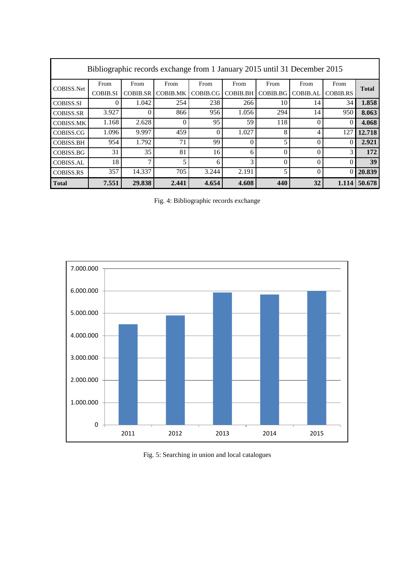| Bibliographic records exchange from 1 January 2015 until 31 December 2015 |                 |                 |                 |          |                 |          |          |                 |              |
|---------------------------------------------------------------------------|-----------------|-----------------|-----------------|----------|-----------------|----------|----------|-----------------|--------------|
| COBISS.Net                                                                | From            | From            | From            | From     | From            | From     | From     | From            | <b>Total</b> |
|                                                                           | <b>COBIB.SI</b> | <b>COBIB.SR</b> | <b>COBIB.MK</b> | COBIB.CG | <b>COBIB.BH</b> | COBIB.BG | COBIB.AL | <b>COBIB.RS</b> |              |
| <b>COBISS.SI</b>                                                          |                 | 1.042           | 254             | 238      | 266             | 10       | 14       | 34              | 1.858        |
| <b>COBISS.SR</b>                                                          | 3.927           | 0               | 866             | 956      | 1.056           | 294      | 14       | 950             | 8.063        |
| <b>COBISS.MK</b>                                                          | 1.168           | 2.628           | $\Omega$        | 95       | 59              | 118      |          | $\theta$        | 4.068        |
| COBISS.CG                                                                 | 1.096           | 9.997           | 459             | $\Omega$ | 1.027           | 8        | 4        | 127             | 12.718       |
| <b>COBISS.BH</b>                                                          | 954             | 1.792           | 71              | 99       | $\Omega$        | 5        | $\theta$ | $\theta$        | 2.921        |
| COBISS.BG                                                                 | 31              | 35              | 81              | 16       | 6               | $\Omega$ | $\theta$ | 3               | 172          |
| <b>COBISS.AL</b>                                                          | 18              | 7               | 5               | 6        | 3               | 0        |          | $\Omega$        | 39           |
| <b>COBISS.RS</b>                                                          | 357             | 14.337          | 705             | 3.244    | 2.191           | 5        |          | $\theta$        | 20.839       |
| <b>Total</b>                                                              | 7.551           | 29.838          | 2.441           | 4.654    | 4.608           | 440      | 32       | 1.114           | 50.678       |

Fig. 4: Bibliographic records exchange



Fig. 5: Searching in union and local catalogues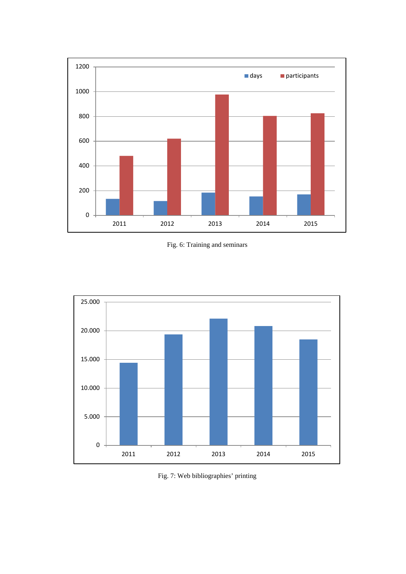

Fig. 6: Training and seminars



Fig. 7: Web bibliographies' printing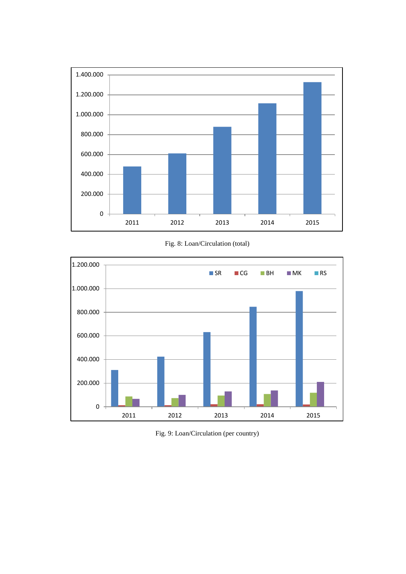

Fig. 8: Loan/Circulation (total)



Fig. 9: Loan/Circulation (per country)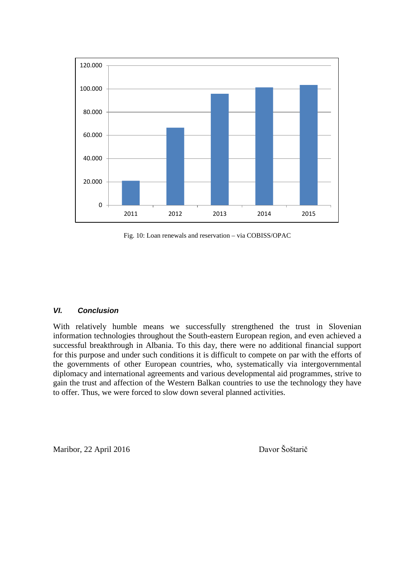

Fig. 10: Loan renewals and reservation – via COBISS/OPAC

#### *VI. Conclusion*

With relatively humble means we successfully strengthened the trust in Slovenian information technologies throughout the South-eastern European region, and even achieved a successful breakthrough in Albania. To this day, there were no additional financial support for this purpose and under such conditions it is difficult to compete on par with the efforts of the governments of other European countries, who, systematically via intergovernmental diplomacy and international agreements and various developmental aid programmes, strive to gain the trust and affection of the Western Balkan countries to use the technology they have to offer. Thus, we were forced to slow down several planned activities.

Maribor, 22 April 2016 Davor Šoštarič